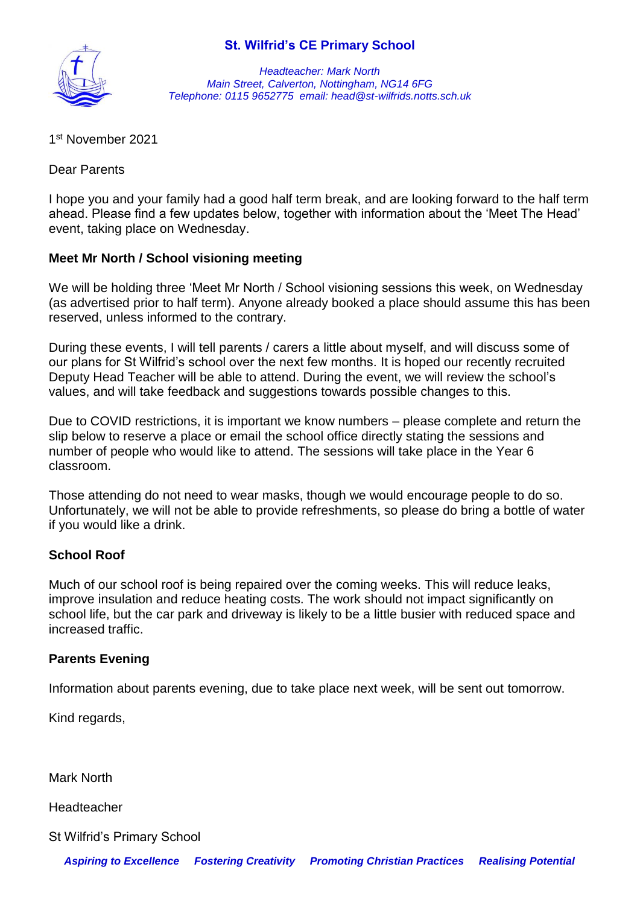## **St. Wilfrid's CE Primary School**



*Headteacher: Mark North Main Street, Calverton, Nottingham, NG14 6FG Telephone: 0115 9652775 email: head@st-wilfrids.notts.sch.uk*

1 st November 2021

Dear Parents

I hope you and your family had a good half term break, and are looking forward to the half term ahead. Please find a few updates below, together with information about the 'Meet The Head' event, taking place on Wednesday.

## **Meet Mr North / School visioning meeting**

We will be holding three 'Meet Mr North / School visioning sessions this week, on Wednesday (as advertised prior to half term). Anyone already booked a place should assume this has been reserved, unless informed to the contrary.

During these events, I will tell parents / carers a little about myself, and will discuss some of our plans for St Wilfrid's school over the next few months. It is hoped our recently recruited Deputy Head Teacher will be able to attend. During the event, we will review the school's values, and will take feedback and suggestions towards possible changes to this.

Due to COVID restrictions, it is important we know numbers – please complete and return the slip below to reserve a place or email the school office directly stating the sessions and number of people who would like to attend. The sessions will take place in the Year 6 classroom.

Those attending do not need to wear masks, though we would encourage people to do so. Unfortunately, we will not be able to provide refreshments, so please do bring a bottle of water if you would like a drink.

## **School Roof**

Much of our school roof is being repaired over the coming weeks. This will reduce leaks, improve insulation and reduce heating costs. The work should not impact significantly on school life, but the car park and driveway is likely to be a little busier with reduced space and increased traffic.

## **Parents Evening**

Information about parents evening, due to take place next week, will be sent out tomorrow.

Kind regards,

Mark North

Headteacher

St Wilfrid's Primary School